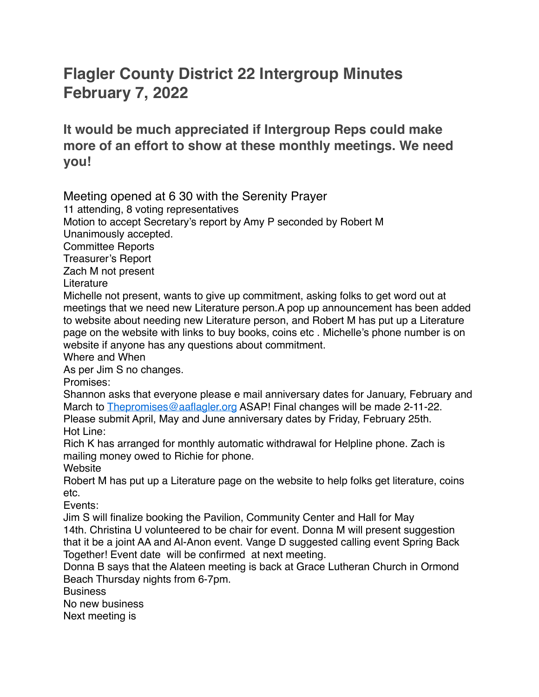## **Flagler County District 22 Intergroup Minutes February 7, 2022**

**It would be much appreciated if Intergroup Reps could make more of an effort to show at these monthly meetings. We need you!**

Meeting opened at 6 30 with the Serenity Prayer

11 attending, 8 voting representatives

Motion to accept Secretary's report by Amy P seconded by Robert M Unanimously accepted.

Committee Reports

Treasurer's Report

Zach M not present

**Literature** 

Michelle not present, wants to give up commitment, asking folks to get word out at meetings that we need new Literature person.A pop up announcement has been added to website about needing new Literature person, and Robert M has put up a Literature page on the website with links to buy books, coins etc . Michelle's phone number is on website if anyone has any questions about commitment.

Where and When

As per Jim S no changes.

Promises:

Shannon asks that everyone please e mail anniversary dates for January, February and March to [Thepromises@aaflagler.org](mailto:Thepromises@aaflagler.org) ASAP! Final changes will be made 2-11-22. Please submit April, May and June anniversary dates by Friday, February 25th.

Hot Line:

Rich K has arranged for monthly automatic withdrawal for Helpline phone. Zach is mailing money owed to Richie for phone.

Website

Robert M has put up a Literature page on the website to help folks get literature, coins etc.

Events:

Jim S will finalize booking the Pavilion, Community Center and Hall for May 14th. Christina U volunteered to be chair for event. Donna M will present suggestion that it be a joint AA and Al-Anon event. Vange D suggested calling event Spring Back Together! Event date will be confirmed at next meeting.

Donna B says that the Alateen meeting is back at Grace Lutheran Church in Ormond Beach Thursday nights from 6-7pm.

**Business** 

No new business

Next meeting is